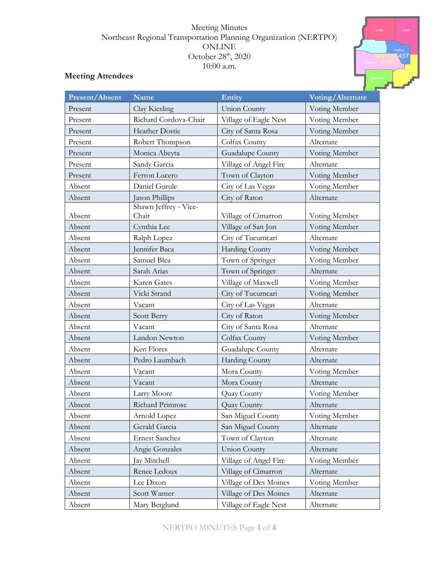## Meeting Minutes Northeast Regional Transportation Planning Organization (NERTPO) ONLINE October 28<sup>th</sup>, 2020 10:00 a.m.



# **Meeting Attendees**

| <b>Present/Absent</b> | <b>Name</b>           | Entity                | Voting/Alternate |
|-----------------------|-----------------------|-----------------------|------------------|
| Present               | Clay Kiesling         | <b>Union County</b>   | Voting Member    |
| Present               | Richard Cordova-Chair | Village of Eagle Nest | Voting Member    |
| Present               | <b>Heather Dostie</b> | City of Santa Rosa    | Voting Member    |
| Present               | Robert Thompson       | Colfax County         | Alternate        |
| Present               | Monica Abeyta         | Guadalupe County      | Voting Member    |
| Present               | Sandy Garcia          | Village of Angel Fire | Alternate        |
| Present               | Ferron Lucero         | Town of Clayton       | Voting Member    |
| Absent                | Daniel Gurule         | City of Las Vegas     | Voting Member    |
| Absent                | Jason Phillips        | City of Raton         | Alternate        |
|                       | Shawn Jeffrey - Vice- |                       |                  |
| Absent                | Chair                 | Village of Cimarron   | Voting Member    |
| Absent                | Cynthia Lee           | Village of San Jon    | Voting Member    |
| Absent                | Ralph Lopez           | City of Tucumcari     | Alternate        |
| Absent                | Jennifer Baca         | <b>Harding County</b> | Voting Member    |
| Absent                | Samuel Blea           | Town of Springer      | Voting Member    |
| Absent                | Sarah Arias           | Town of Springer      | Alternate        |
| Absent                | <b>Karen Gates</b>    | Village of Maxwell    | Voting Member    |
| Absent                | Vicki Strand          | City of Tucumcari     | Voting Member    |
| Absent                | Vacant                | City of Las Vegas     | Alternate        |
| Absent                | Scott Berry           | City of Raton         | Voting Member    |
| Absent                | Vacant                | City of Santa Rosa    | Alternate        |
| Absent                | Landon Newton         | Colfax County         | Voting Member    |
| Absent                | Ken Flores            | Guadalupe County      | Alternate        |
| Absent                | Pedro Laumbach        | Harding County        | Alternate        |
| Absent                | Vacant                | Mora County           | Voting Member    |
| Absent                | Vacant                | Mora County           | Alternate        |
| Absent                | Larry Moore           | Quay County           | Voting Member    |
| Absent                | Richard Primrose      | Quay County           | Alternate        |
| Absent                | Arnold Lopez          | San Miguel County     | Voting Member    |
| Absent                | Gerald Garcia         | San Miguel County     | Alternate        |
| Absent                | Ernest Sanchez        | Town of Clayton       | Alternate        |
| Absent                | Angie Gonzales        | <b>Union County</b>   | Alternate        |
| Absent                | Jay Mitchell          | Village of Angel Fire | Voting Member    |
| Absent                | Renee Ledoux          | Village of Cimarron   | Alternate        |
| Absent                | Lee Dixon             | Village of Des Moines | Voting Member    |
| Absent                | Scott Warner          | Village of Des Moines | Alternate        |
| Absent                | Mary Berglund         | Village of Eagle Nest | Alternate        |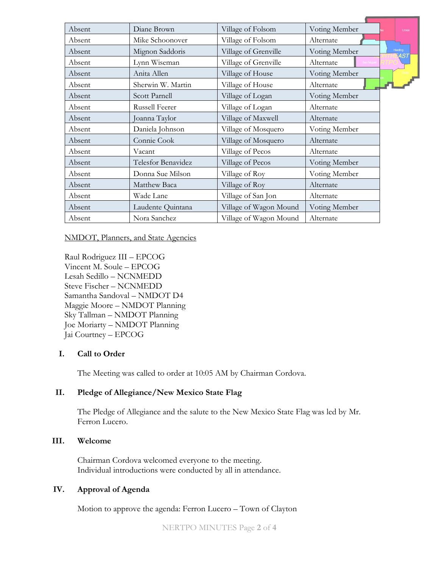| Absent | Diane Brown        | Village of Folsom      | Voting Member |                       | <b>Union</b> |
|--------|--------------------|------------------------|---------------|-----------------------|--------------|
| Absent | Mike Schoonover    | Village of Folsom      | Alternate     |                       |              |
| Absent | Mignon Saddoris    | Village of Grenville   | Voting Member | Harding<br><b>MST</b> |              |
| Absent | Lynn Wiseman       | Village of Grenville   | Alternate     |                       |              |
| Absent | Anita Allen        | Village of House       | Voting Member |                       |              |
| Absent | Sherwin W. Martin  | Village of House       | Alternate     |                       |              |
| Absent | Scott Parnell      | Village of Logan       | Voting Member |                       |              |
| Absent | Russell Feerer     | Village of Logan       | Alternate     |                       |              |
| Absent | Joanna Taylor      | Village of Maxwell     | Alternate     |                       |              |
| Absent | Daniela Johnson    | Village of Mosquero    | Voting Member |                       |              |
| Absent | Connie Cook        | Village of Mosquero    | Alternate     |                       |              |
| Absent | Vacant             | Village of Pecos       | Alternate     |                       |              |
| Absent | Telesfor Benavidez | Village of Pecos       | Voting Member |                       |              |
| Absent | Donna Sue Milson   | Village of Roy         | Voting Member |                       |              |
| Absent | Matthew Baca       | Village of Roy         | Alternate     |                       |              |
| Absent | Wade Lane          | Village of San Jon     | Alternate     |                       |              |
| Absent | Laudente Quintana  | Village of Wagon Mound | Voting Member |                       |              |
| Absent | Nora Sanchez       | Village of Wagon Mound | Alternate     |                       |              |

#### NMDOT, Planners, and State Agencies

Raul Rodriguez III – EPCOG Vincent M. Soule – EPCOG Lesah Sedillo – NCNMEDD Steve Fischer – NCNMEDD Samantha Sandoval – NMDOT D4 Maggie Moore – NMDOT Planning Sky Tallman – NMDOT Planning Joe Moriarty – NMDOT Planning Jai Courtney – EPCOG

### **I. Call to Order**

The Meeting was called to order at 10:05 AM by Chairman Cordova.

# **II. Pledge of Allegiance/New Mexico State Flag**

The Pledge of Allegiance and the salute to the New Mexico State Flag was led by Mr. Ferron Lucero.

### **III. Welcome**

Chairman Cordova welcomed everyone to the meeting. Individual introductions were conducted by all in attendance.

## **IV. Approval of Agenda**

Motion to approve the agenda: Ferron Lucero – Town of Clayton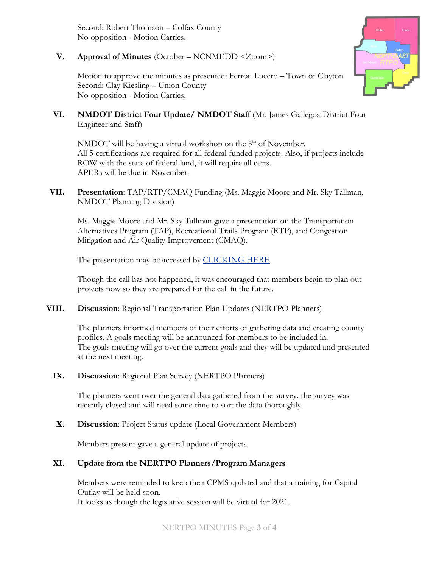Second: Robert Thomson – Colfax County No opposition - Motion Carries.

# **V. Approval of Minutes** (October – NCNMEDD <Zoom>)

Motion to approve the minutes as presented: Ferron Lucero – Town of Clayton Second: Clay Kiesling – Union County No opposition - Motion Carries.

**VI. NMDOT District Four Update/ NMDOT Staff** (Mr. James Gallegos-District Four Engineer and Staff)

NMDOT will be having a virtual workshop on the  $5<sup>th</sup>$  of November. All 5 certifications are required for all federal funded projects. Also, if projects include ROW with the state of federal land, it will require all certs. APERs will be due in November.

**VII. Presentation**: TAP/RTP/CMAQ Funding (Ms. Maggie Moore and Mr. Sky Tallman, NMDOT Planning Division)

Ms. Maggie Moore and Mr. Sky Tallman gave a presentation on the Transportation Alternatives Program (TAP), Recreational Trails Program (RTP), and Congestion Mitigation and Air Quality Improvement (CMAQ).

The presentation may be accessed by **CLICKING HERE**.

Though the call has not happened, it was encouraged that members begin to plan out projects now so they are prepared for the call in the future.

**VIII. Discussion**: Regional Transportation Plan Updates (NERTPO Planners)

The planners informed members of their efforts of gathering data and creating county profiles. A goals meeting will be announced for members to be included in. The goals meeting will go over the current goals and they will be updated and presented at the next meeting.

**IX. Discussion**: Regional Plan Survey (NERTPO Planners)

The planners went over the general data gathered from the survey. the survey was recently closed and will need some time to sort the data thoroughly.

**X. Discussion**: Project Status update (Local Government Members)

Members present gave a general update of projects.

# **XI. Update from the NERTPO Planners/Program Managers**

Members were reminded to keep their CPMS updated and that a training for Capital Outlay will be held soon.

It looks as though the legislative session will be virtual for 2021.